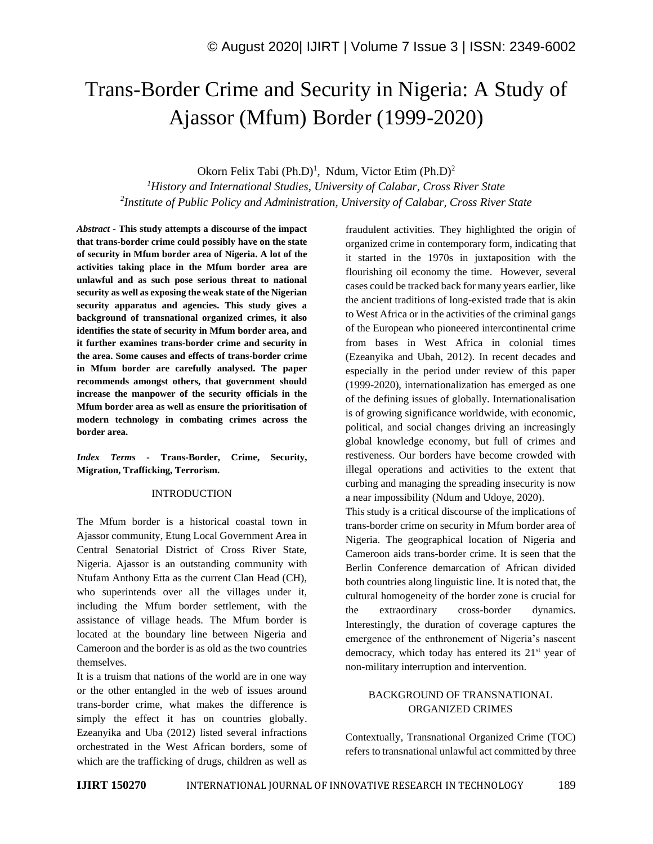# Trans-Border Crime and Security in Nigeria: A Study of Ajassor (Mfum) Border (1999-2020)

Okorn Felix Tabi (Ph.D)<sup>1</sup>, Ndum, Victor Etim (Ph.D)<sup>2</sup>

*<sup>1</sup>History and International Studies, University of Calabar, Cross River State 2 Institute of Public Policy and Administration, University of Calabar, Cross River State*

*Abstract -* **This study attempts a discourse of the impact that trans-border crime could possibly have on the state of security in Mfum border area of Nigeria. A lot of the activities taking place in the Mfum border area are unlawful and as such pose serious threat to national security as well as exposing the weak state of the Nigerian security apparatus and agencies. This study gives a background of transnational organized crimes, it also identifies the state of security in Mfum border area, and it further examines trans-border crime and security in the area. Some causes and effects of trans-border crime in Mfum border are carefully analysed. The paper recommends amongst others, that government should increase the manpower of the security officials in the Mfum border area as well as ensure the prioritisation of modern technology in combating crimes across the border area.**

*Index Terms -* **Trans-Border, Crime, Security, Migration, Trafficking, Terrorism.**

## INTRODUCTION

The Mfum border is a historical coastal town in Ajassor community, Etung Local Government Area in Central Senatorial District of Cross River State, Nigeria. Ajassor is an outstanding community with Ntufam Anthony Etta as the current Clan Head (CH), who superintends over all the villages under it, including the Mfum border settlement, with the assistance of village heads. The Mfum border is located at the boundary line between Nigeria and Cameroon and the border is as old as the two countries themselves.

It is a truism that nations of the world are in one way or the other entangled in the web of issues around trans-border crime, what makes the difference is simply the effect it has on countries globally. Ezeanyika and Uba (2012) listed several infractions orchestrated in the West African borders, some of which are the trafficking of drugs, children as well as fraudulent activities. They highlighted the origin of organized crime in contemporary form, indicating that it started in the 1970s in juxtaposition with the flourishing oil economy the time. However, several cases could be tracked back for many years earlier, like the ancient traditions of long-existed trade that is akin to West Africa or in the activities of the criminal gangs of the European who pioneered intercontinental crime from bases in West Africa in colonial times (Ezeanyika and Ubah, 2012). In recent decades and especially in the period under review of this paper (1999-2020), internationalization has emerged as one of the defining issues of globally. Internationalisation is of growing significance worldwide, with economic, political, and social changes driving an increasingly global knowledge economy, but full of crimes and restiveness. Our borders have become crowded with illegal operations and activities to the extent that curbing and managing the spreading insecurity is now a near impossibility (Ndum and Udoye, 2020).

This study is a critical discourse of the implications of trans-border crime on security in Mfum border area of Nigeria. The geographical location of Nigeria and Cameroon aids trans-border crime. It is seen that the Berlin Conference demarcation of African divided both countries along linguistic line. It is noted that, the cultural homogeneity of the border zone is crucial for the extraordinary cross-border dynamics. Interestingly, the duration of coverage captures the emergence of the enthronement of Nigeria's nascent democracy, which today has entered its  $21<sup>st</sup>$  year of non-military interruption and intervention.

## BACKGROUND OF TRANSNATIONAL ORGANIZED CRIMES

Contextually, Transnational Organized Crime (TOC) refers to transnational unlawful act committed by three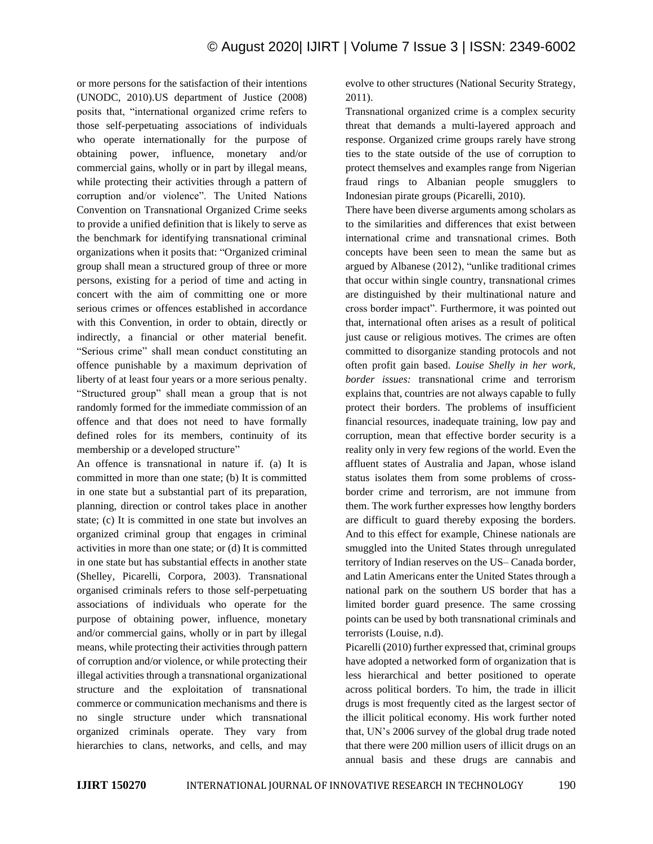or more persons for the satisfaction of their intentions (UNODC, 2010).US department of Justice (2008) posits that, "international organized crime refers to those self-perpetuating associations of individuals who operate internationally for the purpose of obtaining power, influence, monetary and/or commercial gains, wholly or in part by illegal means, while protecting their activities through a pattern of corruption and/or violence". The United Nations Convention on Transnational Organized Crime seeks to provide a unified definition that is likely to serve as the benchmark for identifying transnational criminal organizations when it posits that: "Organized criminal group shall mean a structured group of three or more persons, existing for a period of time and acting in concert with the aim of committing one or more serious crimes or offences established in accordance with this Convention, in order to obtain, directly or indirectly, a financial or other material benefit. "Serious crime" shall mean conduct constituting an offence punishable by a maximum deprivation of liberty of at least four years or a more serious penalty. "Structured group" shall mean a group that is not randomly formed for the immediate commission of an offence and that does not need to have formally defined roles for its members, continuity of its membership or a developed structure"

An offence is transnational in nature if. (a) It is committed in more than one state; (b) It is committed in one state but a substantial part of its preparation, planning, direction or control takes place in another state; (c) It is committed in one state but involves an organized criminal group that engages in criminal activities in more than one state; or (d) It is committed in one state but has substantial effects in another state (Shelley, Picarelli, Corpora, 2003). Transnational organised criminals refers to those self-perpetuating associations of individuals who operate for the purpose of obtaining power, influence, monetary and/or commercial gains, wholly or in part by illegal means, while protecting their activities through pattern of corruption and/or violence, or while protecting their illegal activities through a transnational organizational structure and the exploitation of transnational commerce or communication mechanisms and there is no single structure under which transnational organized criminals operate. They vary from hierarchies to clans, networks, and cells, and may

evolve to other structures (National Security Strategy, 2011).

Transnational organized crime is a complex security threat that demands a multi-layered approach and response. Organized crime groups rarely have strong ties to the state outside of the use of corruption to protect themselves and examples range from Nigerian fraud rings to Albanian people smugglers to Indonesian pirate groups (Picarelli, 2010).

There have been diverse arguments among scholars as to the similarities and differences that exist between international crime and transnational crimes. Both concepts have been seen to mean the same but as argued by Albanese (2012), "unlike traditional crimes that occur within single country, transnational crimes are distinguished by their multinational nature and cross border impact". Furthermore, it was pointed out that, international often arises as a result of political just cause or religious motives. The crimes are often committed to disorganize standing protocols and not often profit gain based. *Louise Shelly in her work, border issues:* transnational crime and terrorism explains that, countries are not always capable to fully protect their borders. The problems of insufficient financial resources, inadequate training, low pay and corruption, mean that effective border security is a reality only in very few regions of the world. Even the affluent states of Australia and Japan, whose island status isolates them from some problems of crossborder crime and terrorism, are not immune from them. The work further expresses how lengthy borders are difficult to guard thereby exposing the borders. And to this effect for example, Chinese nationals are smuggled into the United States through unregulated territory of Indian reserves on the US– Canada border, and Latin Americans enter the United States through a national park on the southern US border that has a limited border guard presence. The same crossing points can be used by both transnational criminals and terrorists (Louise, n.d).

Picarelli (2010) further expressed that, criminal groups have adopted a networked form of organization that is less hierarchical and better positioned to operate across political borders. To him, the trade in illicit drugs is most frequently cited as the largest sector of the illicit political economy. His work further noted that, UN's 2006 survey of the global drug trade noted that there were 200 million users of illicit drugs on an annual basis and these drugs are cannabis and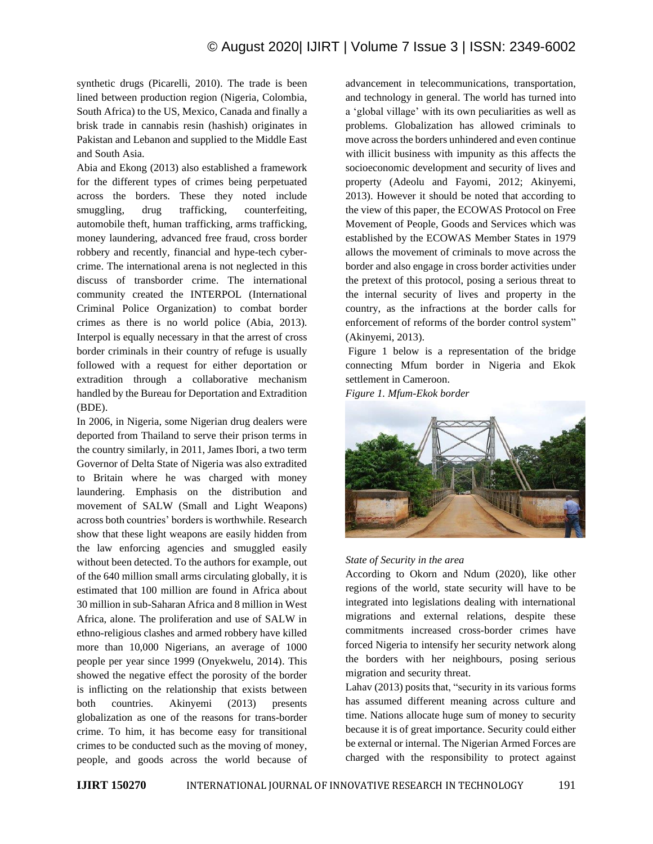synthetic drugs (Picarelli, 2010). The trade is been lined between production region (Nigeria, Colombia, South Africa) to the US, Mexico, Canada and finally a brisk trade in cannabis resin (hashish) originates in Pakistan and Lebanon and supplied to the Middle East and South Asia.

Abia and Ekong (2013) also established a framework for the different types of crimes being perpetuated across the borders. These they noted include smuggling, drug trafficking, counterfeiting, automobile theft, human trafficking, arms trafficking, money laundering, advanced free fraud, cross border robbery and recently, financial and hype-tech cybercrime. The international arena is not neglected in this discuss of transborder crime. The international community created the INTERPOL (International Criminal Police Organization) to combat border crimes as there is no world police (Abia, 2013). Interpol is equally necessary in that the arrest of cross border criminals in their country of refuge is usually followed with a request for either deportation or extradition through a collaborative mechanism handled by the Bureau for Deportation and Extradition (BDE).

In 2006, in Nigeria, some Nigerian drug dealers were deported from Thailand to serve their prison terms in the country similarly, in 2011, James Ibori, a two term Governor of Delta State of Nigeria was also extradited to Britain where he was charged with money laundering. Emphasis on the distribution and movement of SALW (Small and Light Weapons) across both countries' borders is worthwhile. Research show that these light weapons are easily hidden from the law enforcing agencies and smuggled easily without been detected. To the authors for example, out of the 640 million small arms circulating globally, it is estimated that 100 million are found in Africa about 30 million in sub-Saharan Africa and 8 million in West Africa, alone. The proliferation and use of SALW in ethno-religious clashes and armed robbery have killed more than 10,000 Nigerians, an average of 1000 people per year since 1999 (Onyekwelu, 2014). This showed the negative effect the porosity of the border is inflicting on the relationship that exists between both countries. Akinyemi (2013) presents globalization as one of the reasons for trans-border crime. To him, it has become easy for transitional crimes to be conducted such as the moving of money, people, and goods across the world because of

advancement in telecommunications, transportation, and technology in general. The world has turned into a 'global village' with its own peculiarities as well as problems. Globalization has allowed criminals to move across the borders unhindered and even continue with illicit business with impunity as this affects the socioeconomic development and security of lives and property (Adeolu and Fayomi, 2012; Akinyemi, 2013). However it should be noted that according to the view of this paper, the ECOWAS Protocol on Free Movement of People, Goods and Services which was established by the ECOWAS Member States in 1979 allows the movement of criminals to move across the border and also engage in cross border activities under the pretext of this protocol, posing a serious threat to the internal security of lives and property in the country, as the infractions at the border calls for enforcement of reforms of the border control system" (Akinyemi, 2013).

Figure 1 below is a representation of the bridge connecting Mfum border in Nigeria and Ekok settlement in Cameroon.

*Figure 1. Mfum-Ekok border*



#### *State of Security in the area*

According to Okorn and Ndum (2020), like other regions of the world, state security will have to be integrated into legislations dealing with international migrations and external relations, despite these commitments increased cross-border crimes have forced Nigeria to intensify her security network along the borders with her neighbours, posing serious migration and security threat.

Lahav (2013) posits that, "security in its various forms has assumed different meaning across culture and time. Nations allocate huge sum of money to security because it is of great importance. Security could either be external or internal. The Nigerian Armed Forces are charged with the responsibility to protect against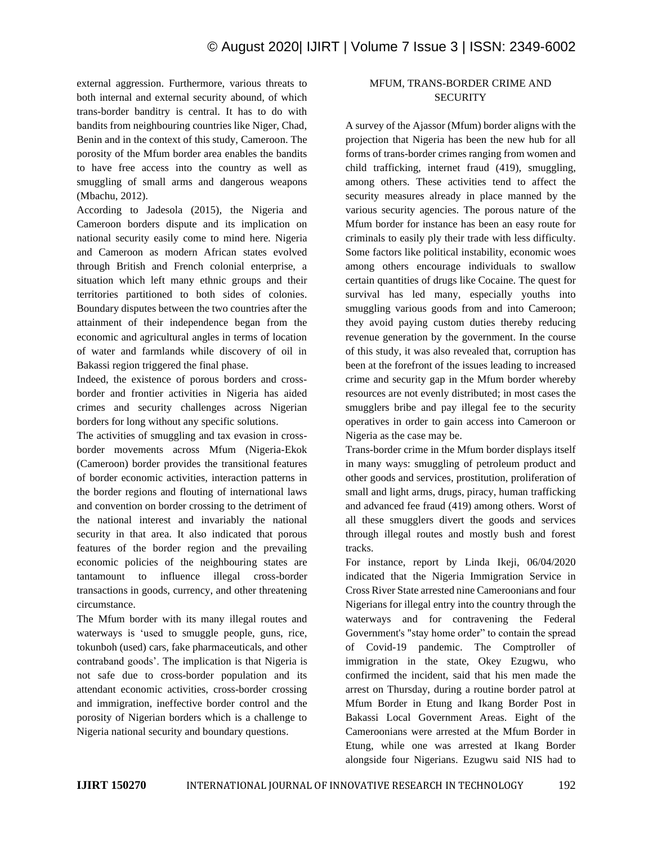external aggression. Furthermore, various threats to both internal and external security abound, of which trans-border banditry is central. It has to do with bandits from neighbouring countries like Niger, Chad, Benin and in the context of this study, Cameroon. The porosity of the Mfum border area enables the bandits to have free access into the country as well as smuggling of small arms and dangerous weapons (Mbachu, 2012).

According to Jadesola (2015), the Nigeria and Cameroon borders dispute and its implication on national security easily come to mind here. Nigeria and Cameroon as modern African states evolved through British and French colonial enterprise, a situation which left many ethnic groups and their territories partitioned to both sides of colonies. Boundary disputes between the two countries after the attainment of their independence began from the economic and agricultural angles in terms of location of water and farmlands while discovery of oil in Bakassi region triggered the final phase.

Indeed, the existence of porous borders and crossborder and frontier activities in Nigeria has aided crimes and security challenges across Nigerian borders for long without any specific solutions.

The activities of smuggling and tax evasion in crossborder movements across Mfum (Nigeria-Ekok (Cameroon) border provides the transitional features of border economic activities, interaction patterns in the border regions and flouting of international laws and convention on border crossing to the detriment of the national interest and invariably the national security in that area. It also indicated that porous features of the border region and the prevailing economic policies of the neighbouring states are tantamount to influence illegal cross-border transactions in goods, currency, and other threatening circumstance.

The Mfum border with its many illegal routes and waterways is 'used to smuggle people, guns, rice, tokunboh (used) cars, fake pharmaceuticals, and other contraband goods'. The implication is that Nigeria is not safe due to cross-border population and its attendant economic activities, cross-border crossing and immigration, ineffective border control and the porosity of Nigerian borders which is a challenge to Nigeria national security and boundary questions.

# MFUM, TRANS-BORDER CRIME AND **SECURITY**

A survey of the Ajassor (Mfum) border aligns with the projection that Nigeria has been the new hub for all forms of trans-border crimes ranging from women and child trafficking, internet fraud (419), smuggling, among others. These activities tend to affect the security measures already in place manned by the various security agencies. The porous nature of the Mfum border for instance has been an easy route for criminals to easily ply their trade with less difficulty. Some factors like political instability, economic woes among others encourage individuals to swallow certain quantities of drugs like Cocaine. The quest for survival has led many, especially youths into smuggling various goods from and into Cameroon; they avoid paying custom duties thereby reducing revenue generation by the government. In the course of this study, it was also revealed that, corruption has been at the forefront of the issues leading to increased crime and security gap in the Mfum border whereby resources are not evenly distributed; in most cases the smugglers bribe and pay illegal fee to the security operatives in order to gain access into Cameroon or Nigeria as the case may be.

Trans-border crime in the Mfum border displays itself in many ways: smuggling of petroleum product and other goods and services, prostitution, proliferation of small and light arms, drugs, piracy, human trafficking and advanced fee fraud (419) among others. Worst of all these smugglers divert the goods and services through illegal routes and mostly bush and forest tracks.

For instance, report by Linda Ikeji, 06/04/2020 indicated that the Nigeria Immigration Service in Cross River State arrested nine Cameroonians and four Nigerians for illegal entry into the country through the waterways and for contravening the Federal Government's "stay home order" to contain the spread of Covid-19 pandemic. The Comptroller of immigration in the state, Okey Ezugwu, who confirmed the incident, said that his men made the arrest on Thursday, during a routine border patrol at Mfum Border in Etung and Ikang Border Post in Bakassi Local Government Areas. Eight of the Cameroonians were arrested at the Mfum Border in Etung, while one was arrested at Ikang Border alongside four Nigerians. Ezugwu said NIS had to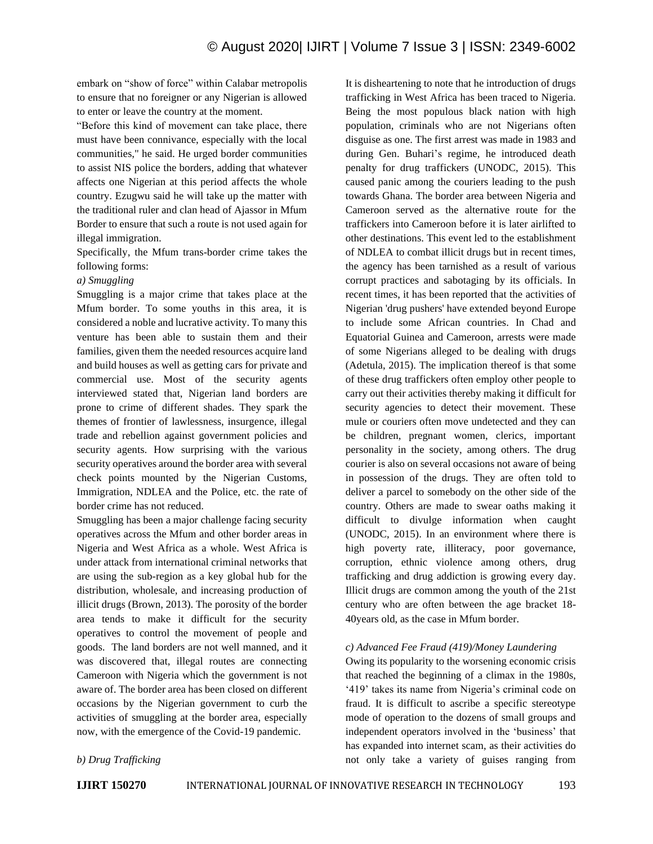embark on "show of force" within Calabar metropolis to ensure that no foreigner or any Nigerian is allowed to enter or leave the country at the moment.

"Before this kind of movement can take place, there must have been connivance, especially with the local communities," he said. He urged border communities to assist NIS police the borders, adding that whatever affects one Nigerian at this period affects the whole country. Ezugwu said he will take up the matter with the traditional ruler and clan head of Ajassor in Mfum Border to ensure that such a route is not used again for illegal immigration.

Specifically, the Mfum trans-border crime takes the following forms:

#### *a) Smuggling*

Smuggling is a major crime that takes place at the Mfum border. To some youths in this area, it is considered a noble and lucrative activity. To many this venture has been able to sustain them and their families, given them the needed resources acquire land and build houses as well as getting cars for private and commercial use. Most of the security agents interviewed stated that, Nigerian land borders are prone to crime of different shades. They spark the themes of frontier of lawlessness, insurgence, illegal trade and rebellion against government policies and security agents. How surprising with the various security operatives around the border area with several check points mounted by the Nigerian Customs, Immigration, NDLEA and the Police, etc. the rate of border crime has not reduced.

Smuggling has been a major challenge facing security operatives across the Mfum and other border areas in Nigeria and West Africa as a whole. West Africa is under attack from international criminal networks that are using the sub-region as a key global hub for the distribution, wholesale, and increasing production of illicit drugs (Brown, 2013). The porosity of the border area tends to make it difficult for the security operatives to control the movement of people and goods. The land borders are not well manned, and it was discovered that, illegal routes are connecting Cameroon with Nigeria which the government is not aware of. The border area has been closed on different occasions by the Nigerian government to curb the activities of smuggling at the border area, especially now, with the emergence of the Covid-19 pandemic.

It is disheartening to note that he introduction of drugs trafficking in West Africa has been traced to Nigeria. Being the most populous black nation with high population, criminals who are not Nigerians often disguise as one. The first arrest was made in 1983 and during Gen. Buhari's regime, he introduced death penalty for drug traffickers (UNODC, 2015). This caused panic among the couriers leading to the push towards Ghana. The border area between Nigeria and Cameroon served as the alternative route for the traffickers into Cameroon before it is later airlifted to other destinations. This event led to the establishment of NDLEA to combat illicit drugs but in recent times, the agency has been tarnished as a result of various corrupt practices and sabotaging by its officials. In recent times, it has been reported that the activities of Nigerian 'drug pushers' have extended beyond Europe to include some African countries. In Chad and Equatorial Guinea and Cameroon, arrests were made of some Nigerians alleged to be dealing with drugs (Adetula, 2015). The implication thereof is that some of these drug traffickers often employ other people to carry out their activities thereby making it difficult for security agencies to detect their movement. These mule or couriers often move undetected and they can be children, pregnant women, clerics, important personality in the society, among others. The drug courier is also on several occasions not aware of being in possession of the drugs. They are often told to deliver a parcel to somebody on the other side of the country. Others are made to swear oaths making it difficult to divulge information when caught (UNODC, 2015). In an environment where there is high poverty rate, illiteracy, poor governance, corruption, ethnic violence among others, drug trafficking and drug addiction is growing every day. Illicit drugs are common among the youth of the 21st century who are often between the age bracket 18- 40years old, as the case in Mfum border.

#### *c) Advanced Fee Fraud (419)/Money Laundering*

Owing its popularity to the worsening economic crisis that reached the beginning of a climax in the 1980s, '419' takes its name from Nigeria's criminal code on fraud. It is difficult to ascribe a specific stereotype mode of operation to the dozens of small groups and independent operators involved in the 'business' that has expanded into internet scam, as their activities do not only take a variety of guises ranging from

# *b) Drug Trafficking*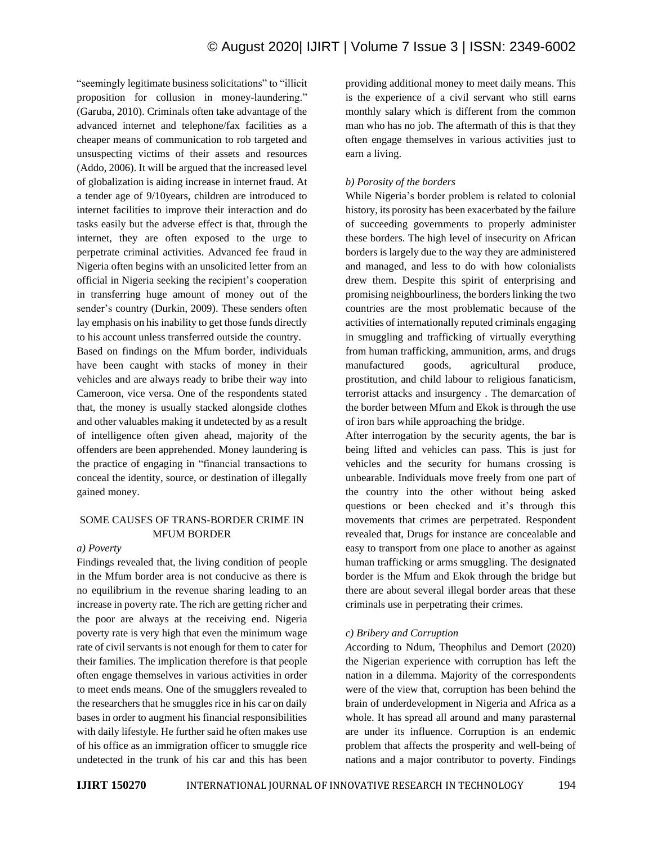"seemingly legitimate business solicitations" to "illicit proposition for collusion in money-laundering." (Garuba, 2010). Criminals often take advantage of the advanced internet and telephone/fax facilities as a cheaper means of communication to rob targeted and unsuspecting victims of their assets and resources (Addo, 2006). It will be argued that the increased level of globalization is aiding increase in internet fraud. At a tender age of 9/10years, children are introduced to internet facilities to improve their interaction and do tasks easily but the adverse effect is that, through the internet, they are often exposed to the urge to perpetrate criminal activities. Advanced fee fraud in Nigeria often begins with an unsolicited letter from an official in Nigeria seeking the recipient's cooperation in transferring huge amount of money out of the sender's country (Durkin, 2009). These senders often lay emphasis on his inability to get those funds directly to his account unless transferred outside the country.

Based on findings on the Mfum border, individuals have been caught with stacks of money in their vehicles and are always ready to bribe their way into Cameroon, vice versa. One of the respondents stated that, the money is usually stacked alongside clothes and other valuables making it undetected by as a result of intelligence often given ahead, majority of the offenders are been apprehended. Money laundering is the practice of engaging in "financial transactions to conceal the identity, source, or destination of illegally gained money.

# SOME CAUSES OF TRANS-BORDER CRIME IN MFUM BORDER

#### *a) Poverty*

Findings revealed that, the living condition of people in the Mfum border area is not conducive as there is no equilibrium in the revenue sharing leading to an increase in poverty rate. The rich are getting richer and the poor are always at the receiving end. Nigeria poverty rate is very high that even the minimum wage rate of civil servants is not enough for them to cater for their families. The implication therefore is that people often engage themselves in various activities in order to meet ends means. One of the smugglers revealed to the researchers that he smuggles rice in his car on daily bases in order to augment his financial responsibilities with daily lifestyle. He further said he often makes use of his office as an immigration officer to smuggle rice undetected in the trunk of his car and this has been providing additional money to meet daily means. This is the experience of a civil servant who still earns monthly salary which is different from the common man who has no job. The aftermath of this is that they often engage themselves in various activities just to earn a living.

## *b) Porosity of the borders*

While Nigeria's border problem is related to colonial history, its porosity has been exacerbated by the failure of succeeding governments to properly administer these borders. The high level of insecurity on African borders is largely due to the way they are administered and managed, and less to do with how colonialists drew them. Despite this spirit of enterprising and promising neighbourliness, the borders linking the two countries are the most problematic because of the activities of internationally reputed criminals engaging in smuggling and trafficking of virtually everything from human trafficking, ammunition, arms, and drugs manufactured goods, agricultural produce, prostitution, and child labour to religious fanaticism, terrorist attacks and insurgency . The demarcation of the border between Mfum and Ekok is through the use of iron bars while approaching the bridge.

After interrogation by the security agents, the bar is being lifted and vehicles can pass. This is just for vehicles and the security for humans crossing is unbearable. Individuals move freely from one part of the country into the other without being asked questions or been checked and it's through this movements that crimes are perpetrated. Respondent revealed that, Drugs for instance are concealable and easy to transport from one place to another as against human trafficking or arms smuggling. The designated border is the Mfum and Ekok through the bridge but there are about several illegal border areas that these criminals use in perpetrating their crimes.

## *c) Bribery and Corruption*

*A*ccording to Ndum, Theophilus and Demort (2020) the Nigerian experience with corruption has left the nation in a dilemma. Majority of the correspondents were of the view that, corruption has been behind the brain of underdevelopment in Nigeria and Africa as a whole. It has spread all around and many parasternal are under its influence. Corruption is an endemic problem that affects the prosperity and well-being of nations and a major contributor to poverty. Findings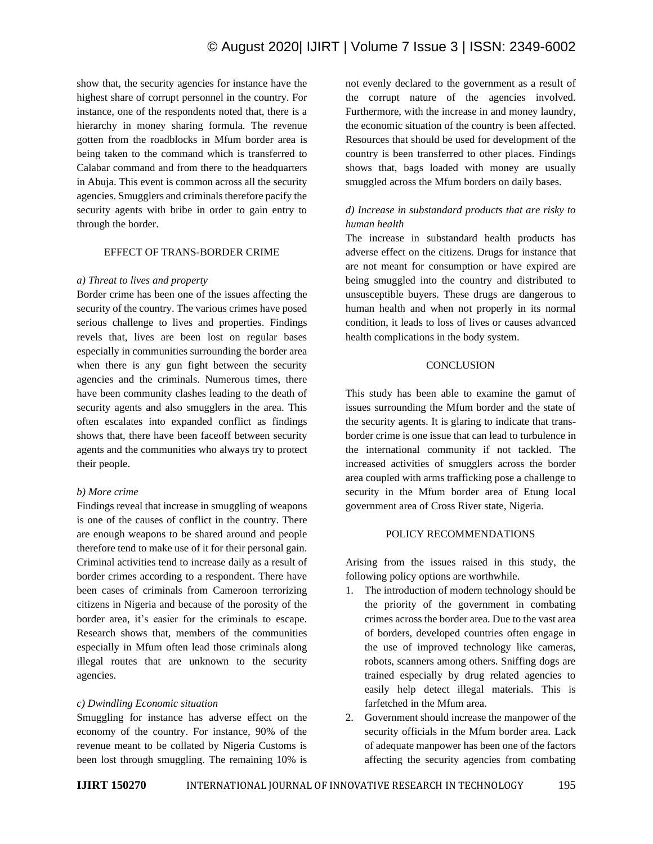show that, the security agencies for instance have the highest share of corrupt personnel in the country. For instance, one of the respondents noted that, there is a hierarchy in money sharing formula. The revenue gotten from the roadblocks in Mfum border area is being taken to the command which is transferred to Calabar command and from there to the headquarters in Abuja. This event is common across all the security agencies. Smugglers and criminals therefore pacify the security agents with bribe in order to gain entry to through the border.

#### EFFECT OF TRANS-BORDER CRIME

#### *a) Threat to lives and property*

Border crime has been one of the issues affecting the security of the country. The various crimes have posed serious challenge to lives and properties. Findings revels that, lives are been lost on regular bases especially in communities surrounding the border area when there is any gun fight between the security agencies and the criminals. Numerous times, there have been community clashes leading to the death of security agents and also smugglers in the area. This often escalates into expanded conflict as findings shows that, there have been faceoff between security agents and the communities who always try to protect their people.

## *b) More crime*

Findings reveal that increase in smuggling of weapons is one of the causes of conflict in the country. There are enough weapons to be shared around and people therefore tend to make use of it for their personal gain. Criminal activities tend to increase daily as a result of border crimes according to a respondent. There have been cases of criminals from Cameroon terrorizing citizens in Nigeria and because of the porosity of the border area, it's easier for the criminals to escape. Research shows that, members of the communities especially in Mfum often lead those criminals along illegal routes that are unknown to the security agencies.

## *c) Dwindling Economic situation*

Smuggling for instance has adverse effect on the economy of the country. For instance, 90% of the revenue meant to be collated by Nigeria Customs is been lost through smuggling. The remaining 10% is not evenly declared to the government as a result of the corrupt nature of the agencies involved. Furthermore, with the increase in and money laundry, the economic situation of the country is been affected. Resources that should be used for development of the country is been transferred to other places. Findings shows that, bags loaded with money are usually smuggled across the Mfum borders on daily bases.

# *d) Increase in substandard products that are risky to human health*

The increase in substandard health products has adverse effect on the citizens. Drugs for instance that are not meant for consumption or have expired are being smuggled into the country and distributed to unsusceptible buyers. These drugs are dangerous to human health and when not properly in its normal condition, it leads to loss of lives or causes advanced health complications in the body system.

#### **CONCLUSION**

This study has been able to examine the gamut of issues surrounding the Mfum border and the state of the security agents. It is glaring to indicate that transborder crime is one issue that can lead to turbulence in the international community if not tackled. The increased activities of smugglers across the border area coupled with arms trafficking pose a challenge to security in the Mfum border area of Etung local government area of Cross River state, Nigeria.

## POLICY RECOMMENDATIONS

Arising from the issues raised in this study, the following policy options are worthwhile.

- 1. The introduction of modern technology should be the priority of the government in combating crimes across the border area. Due to the vast area of borders, developed countries often engage in the use of improved technology like cameras, robots, scanners among others. Sniffing dogs are trained especially by drug related agencies to easily help detect illegal materials. This is farfetched in the Mfum area.
- 2. Government should increase the manpower of the security officials in the Mfum border area. Lack of adequate manpower has been one of the factors affecting the security agencies from combating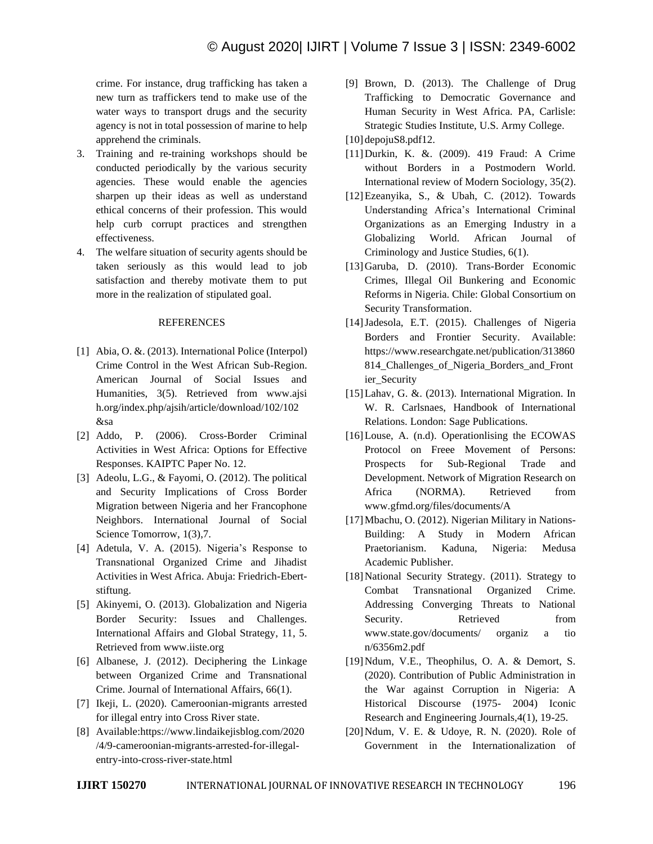crime. For instance, drug trafficking has taken a new turn as traffickers tend to make use of the water ways to transport drugs and the security agency is not in total possession of marine to help apprehend the criminals.

- 3. Training and re-training workshops should be conducted periodically by the various security agencies. These would enable the agencies sharpen up their ideas as well as understand ethical concerns of their profession. This would help curb corrupt practices and strengthen effectiveness.
- 4. The welfare situation of security agents should be taken seriously as this would lead to job satisfaction and thereby motivate them to put more in the realization of stipulated goal.

#### **REFERENCES**

- [1] Abia, O. &. (2013). International Police (Interpol) Crime Control in the West African Sub-Region. American Journal of Social Issues and Humanities, 3(5). Retrieved from www.ajsi h.org/index.php/ajsih/article/download/102/102 &sa
- [2] Addo, P. (2006). Cross-Border Criminal Activities in West Africa: Options for Effective Responses. KAIPTC Paper No. 12.
- [3] Adeolu, L.G., & Fayomi, O. (2012). The political and Security Implications of Cross Border Migration between Nigeria and her Francophone Neighbors. International Journal of Social Science Tomorrow, 1(3),7.
- [4] Adetula, V. A. (2015). Nigeria's Response to Transnational Organized Crime and Jihadist Activities in West Africa. Abuja: Friedrich-Ebertstiftung.
- [5] Akinyemi, O. (2013). Globalization and Nigeria Border Security: Issues and Challenges. International Affairs and Global Strategy, 11, 5. Retrieved from www.iiste.org
- [6] Albanese, J. (2012). Deciphering the Linkage between Organized Crime and Transnational Crime. Journal of International Affairs, 66(1).
- [7] Ikeji, L. (2020). Cameroonian-migrants arrested for illegal entry into Cross River state.
- [8] Available:https://www.lindaikejisblog.com/2020 /4/9-cameroonian-migrants-arrested-for-illegalentry-into-cross-river-state.html

[9] Brown, D. (2013). The Challenge of Drug Trafficking to Democratic Governance and Human Security in West Africa. PA, Carlisle: Strategic Studies Institute, U.S. Army College.

[10] depojuS8.pdf12.

- [11]Durkin, K. &. (2009). 419 Fraud: A Crime without Borders in a Postmodern World. International review of Modern Sociology, 35(2).
- [12]Ezeanyika, S., & Ubah, C. (2012). Towards Understanding Africa's International Criminal Organizations as an Emerging Industry in a Globalizing World. African Journal of Criminology and Justice Studies, 6(1).
- [13]Garuba, D. (2010). Trans-Border Economic Crimes, Illegal Oil Bunkering and Economic Reforms in Nigeria. Chile: Global Consortium on Security Transformation.
- [14]Jadesola, E.T. (2015). Challenges of Nigeria Borders and Frontier Security. Available: https://www.researchgate.net/publication/313860 814 Challenges of Nigeria Borders and Front ier\_Security
- [15]Lahav, G. &. (2013). International Migration. In W. R. Carlsnaes, Handbook of International Relations. London: Sage Publications.
- [16] Louse, A. (n.d). Operationlising the ECOWAS Protocol on Freee Movement of Persons: Prospects for Sub-Regional Trade and Development. Network of Migration Research on Africa (NORMA). Retrieved from www.gfmd.org/files/documents/A
- [17]Mbachu, O. (2012). Nigerian Military in Nations-Building: A Study in Modern African Praetorianism. Kaduna, Nigeria: Medusa Academic Publisher.
- [18] National Security Strategy. (2011). Strategy to Combat Transnational Organized Crime. Addressing Converging Threats to National Security. Retrieved from www.state.gov/documents/ organiz a tio n/6356m2.pdf
- [19] Ndum, V.E., Theophilus, O. A. & Demort, S. (2020). Contribution of Public Administration in the War against Corruption in Nigeria: A Historical Discourse (1975- 2004) Iconic Research and Engineering Journals,4(1), 19-25.
- [20]Ndum, V. E. & Udoye, R. N. (2020). Role of Government in the Internationalization of